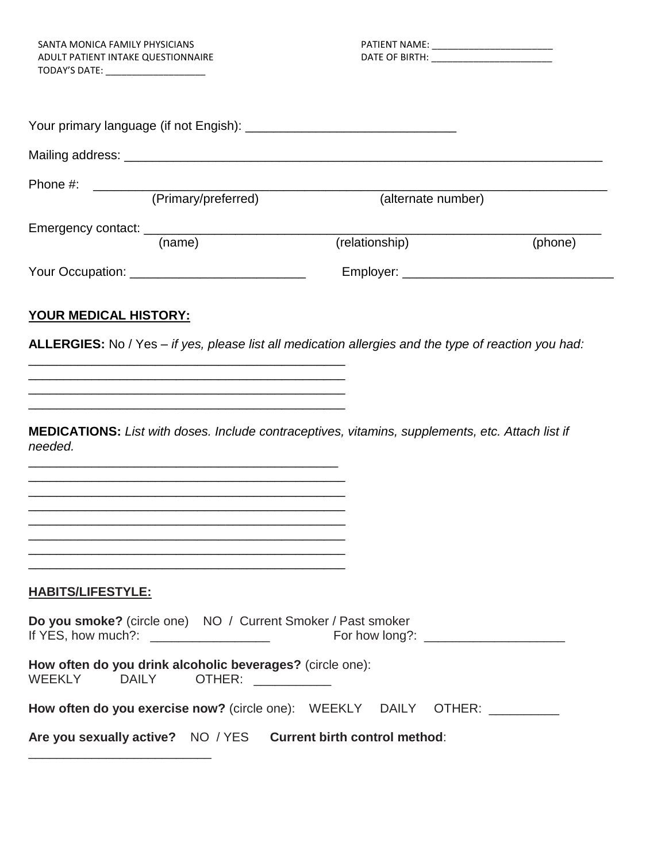TODAY'S DATE: \_\_\_\_\_\_\_\_\_\_\_\_\_\_\_\_\_\_\_

| Phone #:                              | (Primary/preferred) | (alternate number) |         |
|---------------------------------------|---------------------|--------------------|---------|
|                                       | (name)              | (relationship)     | (phone) |
| Your Occupation: New Your Occupation: |                     | Employer: __       |         |

### **YOUR MEDICAL HISTORY:**

\_\_\_\_\_\_\_\_\_\_\_\_\_\_\_\_\_\_\_\_\_\_\_\_\_\_\_\_\_\_\_\_\_\_\_\_\_\_\_\_\_\_\_\_\_ \_\_\_\_\_\_\_\_\_\_\_\_\_\_\_\_\_\_\_\_\_\_\_\_\_\_\_\_\_\_\_\_\_\_\_\_\_\_\_\_\_\_\_\_\_  $\frac{1}{2}$  ,  $\frac{1}{2}$  ,  $\frac{1}{2}$  ,  $\frac{1}{2}$  ,  $\frac{1}{2}$  ,  $\frac{1}{2}$  ,  $\frac{1}{2}$  ,  $\frac{1}{2}$  ,  $\frac{1}{2}$  ,  $\frac{1}{2}$  ,  $\frac{1}{2}$  ,  $\frac{1}{2}$  ,  $\frac{1}{2}$  ,  $\frac{1}{2}$  ,  $\frac{1}{2}$  ,  $\frac{1}{2}$  ,  $\frac{1}{2}$  ,  $\frac{1}{2}$  ,  $\frac{1$ \_\_\_\_\_\_\_\_\_\_\_\_\_\_\_\_\_\_\_\_\_\_\_\_\_\_\_\_\_\_\_\_\_\_\_\_\_\_\_\_\_\_\_\_\_

\_\_\_\_\_\_\_\_\_\_\_\_\_\_\_\_\_\_\_\_\_\_\_\_\_\_\_\_\_\_\_\_\_\_\_\_\_\_\_\_\_\_\_\_ \_\_\_\_\_\_\_\_\_\_\_\_\_\_\_\_\_\_\_\_\_\_\_\_\_\_\_\_\_\_\_\_\_\_\_\_\_\_\_\_\_\_\_\_\_

**ALLERGIES:** No / Yes – *if yes, please list all medication allergies and the type of reaction you had:*

**MEDICATIONS:** *List with doses. Include contraceptives, vitamins, supplements, etc. Attach list if needed.* 

| <b>HABITS/LIFESTYLE:</b>                                                                    |  |
|---------------------------------------------------------------------------------------------|--|
| Do you smoke? (circle one) NO / Current Smoker / Past smoker                                |  |
| How often do you drink alcoholic beverages? (circle one):<br>WEEKLY DAILY OTHER: University |  |
| How often do you exercise now? (circle one): WEEKLY DAILY OTHER:                            |  |
| Are you sexually active? NO / YES Current birth control method:                             |  |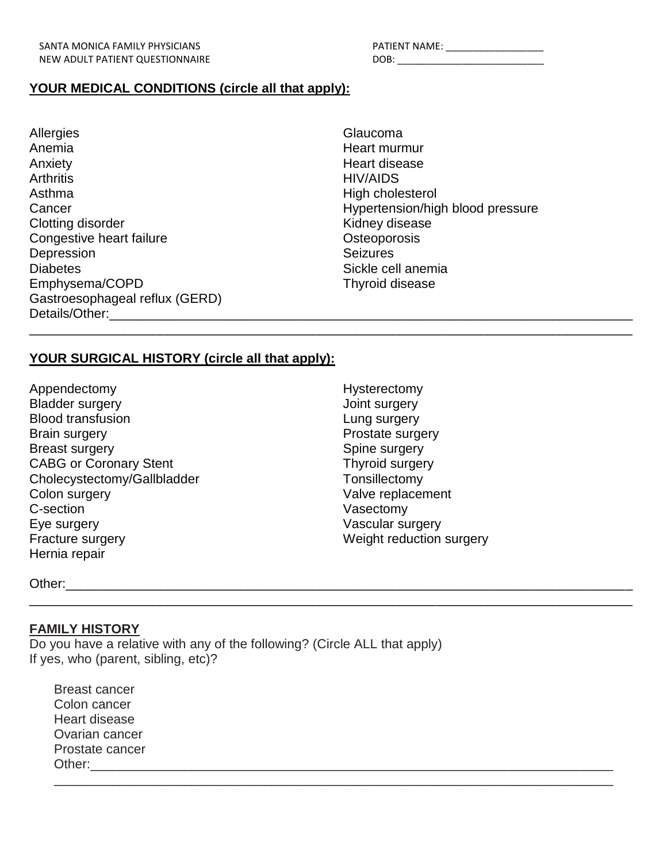| ATIENT NAME: |  |
|--------------|--|
| )OB:         |  |

### **YOUR MEDICAL CONDITIONS (circle all that apply):**

- **Allergies** Anemia Anxiety **Arthritis** Asthma **Cancer** Clotting disorder Congestive heart failure **Depression Diabetes** Emphysema/COPD Gastroesophageal reflux (GERD) Details/Other:\_\_\_\_\_\_\_\_\_\_\_\_\_\_\_\_\_\_\_\_\_\_\_\_\_\_\_\_\_\_\_\_\_\_\_\_\_\_\_\_\_\_\_\_\_\_\_\_\_\_\_\_\_\_\_\_\_\_\_\_\_\_\_\_\_\_\_\_\_\_\_\_
- Glaucoma Heart murmur Heart disease HIV/AIDS High cholesterol Hypertension/high blood pressure Kidney disease **Osteoporosis** Seizures Sickle cell anemia Thyroid disease

### **YOUR SURGICAL HISTORY (circle all that apply):**

Appendectomy Bladder surgery Blood transfusion Brain surgery Breast surgery CABG or Coronary Stent Cholecystectomy/Gallbladder Colon surgery C-section Eye surgery Fracture surgery Hernia repair

Hysterectomy Joint surgery Lung surgery Prostate surgery Spine surgery Thyroid surgery Tonsillectomy Valve replacement Vasectomy Vascular surgery Weight reduction surgery

\_\_\_\_\_\_\_\_\_\_\_\_\_\_\_\_\_\_\_\_\_\_\_\_\_\_\_\_\_\_\_\_\_\_\_\_\_\_\_\_\_\_\_\_\_\_\_\_\_\_\_\_\_\_\_\_\_\_\_\_\_\_\_\_\_\_\_\_\_\_\_\_\_\_\_\_\_\_\_\_\_\_\_

\_\_\_\_\_\_\_\_\_\_\_\_\_\_\_\_\_\_\_\_\_\_\_\_\_\_\_\_\_\_\_\_\_\_\_\_\_\_\_\_\_\_\_\_\_\_\_\_\_\_\_\_\_\_\_\_\_\_\_\_\_\_\_\_\_\_\_\_\_\_\_\_\_\_\_\_\_\_\_\_\_\_\_

\_\_\_\_\_\_\_\_\_\_\_\_\_\_\_\_\_\_\_\_\_\_\_\_\_\_\_\_\_\_\_\_\_\_\_\_\_\_\_\_\_\_\_\_\_\_\_\_\_\_\_\_\_\_\_\_\_\_\_\_\_\_\_\_\_\_\_\_\_\_\_\_\_\_\_\_\_

Other:\_\_\_\_\_\_\_\_\_\_\_\_\_\_\_\_\_\_\_\_\_\_\_\_\_\_\_\_\_\_\_\_\_\_\_\_\_\_\_\_\_\_\_\_\_\_\_\_\_\_\_\_\_\_\_\_\_\_\_\_\_\_\_\_\_\_\_\_\_\_\_\_\_\_\_\_\_\_

#### **FAMILY HISTORY**

Do you have a relative with any of the following? (Circle ALL that apply) If yes, who (parent, sibling, etc)?

Breast cancer Colon cancer Heart disease Ovarian cancer Prostate cancer Other:\_\_\_\_\_\_\_\_\_\_\_\_\_\_\_\_\_\_\_\_\_\_\_\_\_\_\_\_\_\_\_\_\_\_\_\_\_\_\_\_\_\_\_\_\_\_\_\_\_\_\_\_\_\_\_\_\_\_\_\_\_\_\_\_\_\_\_\_\_\_\_\_